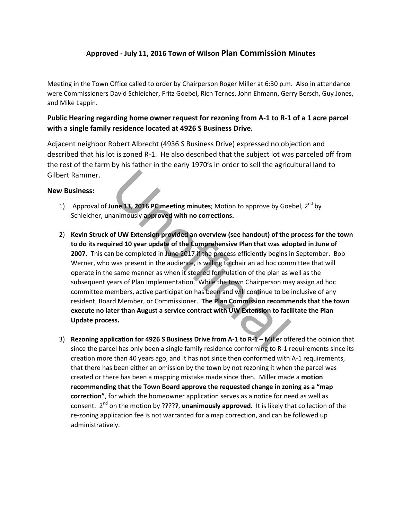## **Approved - July 11, 2016 Town of Wilson Plan Commission Minutes**

Meeting in the Town Office called to order by Chairperson Roger Miller at 6:30 p.m. Also in attendance were Commissioners David Schleicher, Fritz Goebel, Rich Ternes, John Ehmann, Gerry Bersch, Guy Jones, and Mike Lappin.

## **Public Hearing regarding home owner request for rezoning from A-1 to R-1 of a 1 acre parcel with a single family residence located at 4926 S Business Drive.**

Adjacent neighbor Robert Albrecht (4936 S Business Drive) expressed no objection and described that his lot is zoned R-1. He also described that the subject lot was parceled off from the rest of the farm by his father in the early 1970's in order to sell the agricultural land to Gilbert Rammer.

## **New Business:**

- 1) Approval of **June 13, 2016 PC meeting minutes**; Motion to approve by Goebel, 2nd by Schleicher, unanimously **approved with no corrections.**
- une 13, 2016 PC meeting minutes; Motion to approve by Goe animously approved with no corrections.<br>
of UW Extension provided an overview (see handout) of the lired 10 year update of the Comprehensive Plan that was ado he co 2) **Kevin Struck of UW Extension provided an overview (see handout) of the process for the town to do its required 10 year update of the Comprehensive Plan that was adopted in June of 2007**. This can be completed in June 2017 if the process efficiently begins in September. Bob Werner, who was present in the audience, is willing to chair an ad hoc committee that will operate in the same manner as when it steered formulation of the plan as well as the subsequent years of Plan Implementation. While the town Chairperson may assign ad hoc committee members, active participation has been and will continue to be inclusive of any resident, Board Member, or Commissioner. **The Plan Commission recommends that the town execute no later than August a service contract with UW Extension to facilitate the Plan Update process.**
- 3) **Rezoning application for 4926 S Business Drive from A-1 to R-1** Miller offered the opinion that since the parcel has only been a single family residence conforming to R-1 requirements since its creation more than 40 years ago, and it has not since then conformed with A-1 requirements, that there has been either an omission by the town by not rezoning it when the parcel was created or there has been a mapping mistake made since then. Miller made a **motion recommending that the Town Board approve the requested change in zoning as a "map correction"**, for which the homeowner application serves as a notice for need as well as consent. 2nd on the motion by ?????, **unanimously approved**. It is likely that collection of the re-zoning application fee is not warranted for a map correction, and can be followed up administratively.